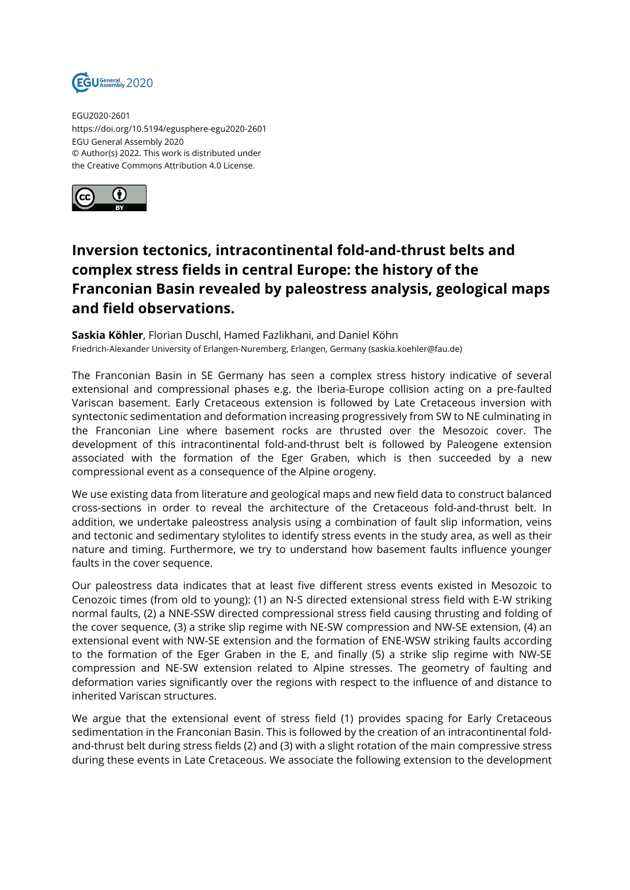

EGU2020-2601 https://doi.org/10.5194/egusphere-egu2020-2601 EGU General Assembly 2020 © Author(s) 2022. This work is distributed under the Creative Commons Attribution 4.0 License.



## **Inversion tectonics, intracontinental fold-and-thrust belts and complex stress fields in central Europe: the history of the Franconian Basin revealed by paleostress analysis, geological maps and field observations.**

**Saskia Köhler**, Florian Duschl, Hamed Fazlikhani, and Daniel Köhn Friedrich-Alexander University of Erlangen-Nuremberg, Erlangen, Germany (saskia.koehler@fau.de)

The Franconian Basin in SE Germany has seen a complex stress history indicative of several extensional and compressional phases e.g. the Iberia-Europe collision acting on a pre-faulted Variscan basement. Early Cretaceous extension is followed by Late Cretaceous inversion with syntectonic sedimentation and deformation increasing progressively from SW to NE culminating in the Franconian Line where basement rocks are thrusted over the Mesozoic cover. The development of this intracontinental fold-and-thrust belt is followed by Paleogene extension associated with the formation of the Eger Graben, which is then succeeded by a new compressional event as a consequence of the Alpine orogeny.

We use existing data from literature and geological maps and new field data to construct balanced cross-sections in order to reveal the architecture of the Cretaceous fold-and-thrust belt. In addition, we undertake paleostress analysis using a combination of fault slip information, veins and tectonic and sedimentary stylolites to identify stress events in the study area, as well as their nature and timing. Furthermore, we try to understand how basement faults influence younger faults in the cover sequence.

Our paleostress data indicates that at least five different stress events existed in Mesozoic to Cenozoic times (from old to young): (1) an N-S directed extensional stress field with E-W striking normal faults, (2) a NNE-SSW directed compressional stress field causing thrusting and folding of the cover sequence, (3) a strike slip regime with NE-SW compression and NW-SE extension, (4) an extensional event with NW-SE extension and the formation of ENE-WSW striking faults according to the formation of the Eger Graben in the E, and finally (5) a strike slip regime with NW-SE compression and NE-SW extension related to Alpine stresses. The geometry of faulting and deformation varies significantly over the regions with respect to the influence of and distance to inherited Variscan structures.

We argue that the extensional event of stress field (1) provides spacing for Early Cretaceous sedimentation in the Franconian Basin. This is followed by the creation of an intracontinental foldand-thrust belt during stress fields (2) and (3) with a slight rotation of the main compressive stress during these events in Late Cretaceous. We associate the following extension to the development